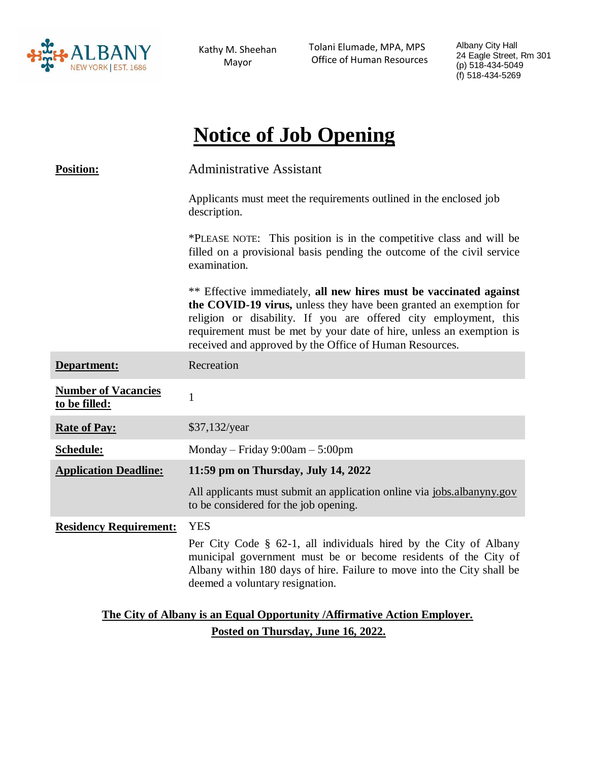

Kathy M. Sheehan Mayor

 Tolani Elumade, MPA, MPS Office of Human Resources Albany City Hall 24 Eagle Street, Rm 301 (p) 518-434-5049 (f) 518-434-5269

# **Notice of Job Opening**

| <b>Position:</b>                                                          | <b>Administrative Assistant</b>                                                                                                                                                                                                                                                                                                                 |
|---------------------------------------------------------------------------|-------------------------------------------------------------------------------------------------------------------------------------------------------------------------------------------------------------------------------------------------------------------------------------------------------------------------------------------------|
|                                                                           | Applicants must meet the requirements outlined in the enclosed job<br>description.                                                                                                                                                                                                                                                              |
|                                                                           | *PLEASE NOTE: This position is in the competitive class and will be<br>filled on a provisional basis pending the outcome of the civil service<br>examination.                                                                                                                                                                                   |
|                                                                           | ** Effective immediately, all new hires must be vaccinated against<br>the COVID-19 virus, unless they have been granted an exemption for<br>religion or disability. If you are offered city employment, this<br>requirement must be met by your date of hire, unless an exemption is<br>received and approved by the Office of Human Resources. |
| Department:                                                               | Recreation                                                                                                                                                                                                                                                                                                                                      |
| <b>Number of Vacancies</b><br>to be filled:                               | $\mathbf{1}$                                                                                                                                                                                                                                                                                                                                    |
| <b>Rate of Pay:</b>                                                       | $$37,132$ /year                                                                                                                                                                                                                                                                                                                                 |
| Schedule:                                                                 | Monday – Friday $9:00am - 5:00pm$                                                                                                                                                                                                                                                                                                               |
| <b>Application Deadline:</b>                                              | 11:59 pm on Thursday, July 14, 2022                                                                                                                                                                                                                                                                                                             |
|                                                                           | All applicants must submit an application online via jobs.albanyny.gov<br>to be considered for the job opening.                                                                                                                                                                                                                                 |
| <b>Residency Requirement:</b>                                             | <b>YES</b>                                                                                                                                                                                                                                                                                                                                      |
|                                                                           | Per City Code § 62-1, all individuals hired by the City of Albany<br>municipal government must be or become residents of the City of<br>Albany within 180 days of hire. Failure to move into the City shall be<br>deemed a voluntary resignation.                                                                                               |
| The City of Albany is an Equal Opportunity / Affirmative Action Employer. |                                                                                                                                                                                                                                                                                                                                                 |

**Posted on Thursday, June 16, 2022.**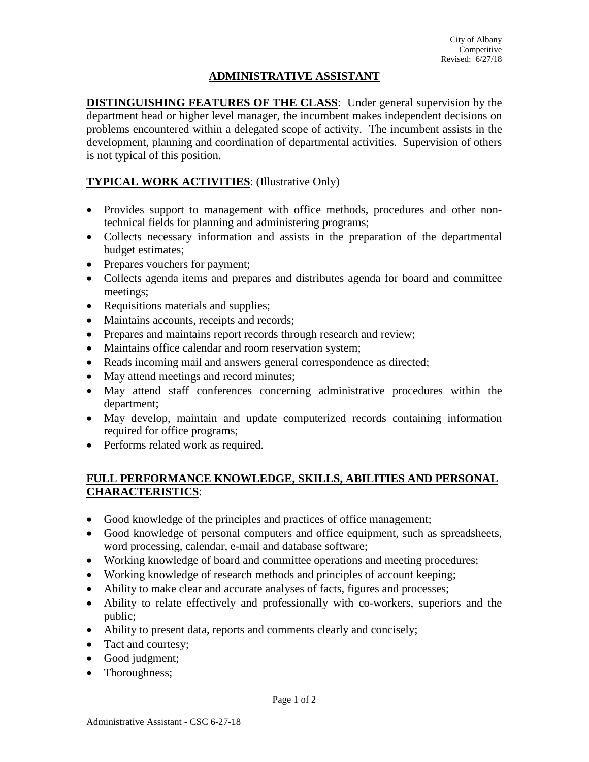### **ADMINISTRATIVE ASSISTANT**

**DISTINGUISHING FEATURES OF THE CLASS**: Under general supervision by the department head or higher level manager, the incumbent makes independent decisions on problems encountered within a delegated scope of activity. The incumbent assists in the development, planning and coordination of departmental activities. Supervision of others is not typical of this position.

# **TYPICAL WORK ACTIVITIES**: (Illustrative Only)

- Provides support to management with office methods, procedures and other nontechnical fields for planning and administering programs;
- Collects necessary information and assists in the preparation of the departmental budget estimates;
- Prepares vouchers for payment;
- Collects agenda items and prepares and distributes agenda for board and committee meetings;
- Requisitions materials and supplies;
- Maintains accounts, receipts and records;
- Prepares and maintains report records through research and review;
- Maintains office calendar and room reservation system;
- Reads incoming mail and answers general correspondence as directed;
- May attend meetings and record minutes;
- May attend staff conferences concerning administrative procedures within the department;
- May develop, maintain and update computerized records containing information required for office programs;
- Performs related work as required.

## **FULL PERFORMANCE KNOWLEDGE, SKILLS, ABILITIES AND PERSONAL CHARACTERISTICS**:

- Good knowledge of the principles and practices of office management;
- Good knowledge of personal computers and office equipment, such as spreadsheets, word processing, calendar, e-mail and database software;
- Working knowledge of board and committee operations and meeting procedures;
- Working knowledge of research methods and principles of account keeping;
- Ability to make clear and accurate analyses of facts, figures and processes;
- Ability to relate effectively and professionally with co-workers, superiors and the public;
- Ability to present data, reports and comments clearly and concisely;
- Tact and courtesy;
- Good judgment;
- Thoroughness;